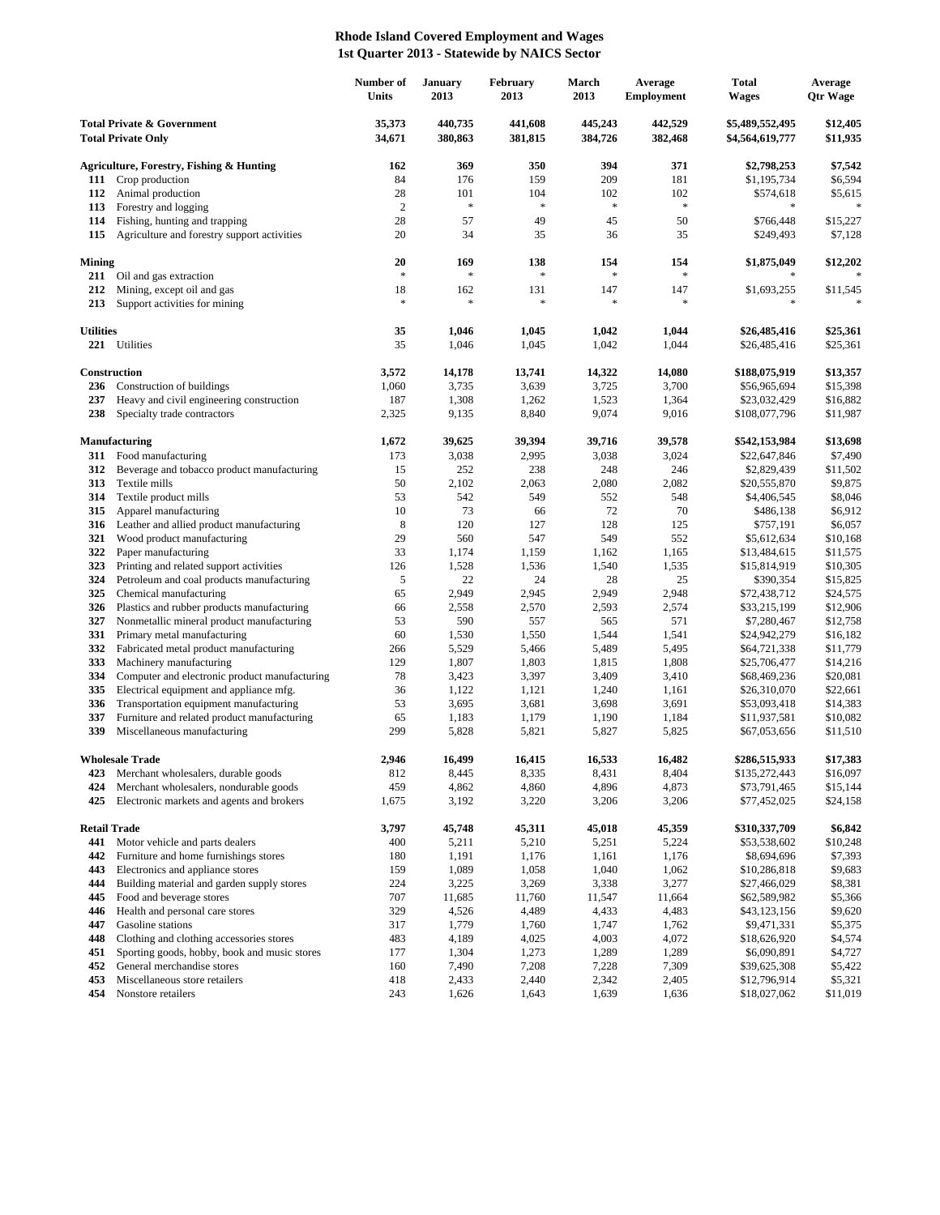## **Rhode Island Covered Employment and Wages 1st Quarter 2013 - Statewide by NAICS Sector**

|                                                                    |                                                                          | Number of<br>Units | <b>January</b><br>2013 | February<br>2013   | March<br>2013      | Average<br><b>Employment</b> | <b>Total</b><br><b>Wages</b>       | Average<br><b>Qtr Wage</b> |
|--------------------------------------------------------------------|--------------------------------------------------------------------------|--------------------|------------------------|--------------------|--------------------|------------------------------|------------------------------------|----------------------------|
| <b>Total Private &amp; Government</b><br><b>Total Private Only</b> |                                                                          | 35,373<br>34,671   | 440,735<br>380,863     | 441,608<br>381,815 | 445,243<br>384,726 | 442,529<br>382,468           | \$5,489,552,495<br>\$4,564,619,777 | \$12,405<br>\$11,935       |
|                                                                    | <b>Agriculture, Forestry, Fishing &amp; Hunting</b>                      | 162                | 369                    | 350                | 394                | 371                          | \$2,798,253                        | \$7,542                    |
| 111                                                                | Crop production                                                          | 84                 | 176                    | 159                | 209                | 181                          | \$1,195,734                        | \$6,594                    |
| 112                                                                | Animal production                                                        | 28                 | 101                    | 104                | 102                | 102                          | \$574,618                          | \$5,615                    |
| 113                                                                | Forestry and logging                                                     | $\overline{2}$     | *                      | $\frac{1}{2}$      | $\ast$             | $\ast$                       | $\ast$                             |                            |
| 114                                                                | Fishing, hunting and trapping                                            | 28                 | 57                     | 49                 | 45                 | 50                           | \$766,448                          | \$15,227                   |
| 115                                                                | Agriculture and forestry support activities                              | 20                 | 34                     | 35                 | 36                 | 35                           | \$249,493                          | \$7,128                    |
| <b>Mining</b>                                                      |                                                                          | 20                 | 169                    | 138                | 154                | 154                          | \$1,875,049                        | \$12,202                   |
| 211                                                                | Oil and gas extraction                                                   | $\ast$             | *                      | $\frac{1}{2}$      | $\ast$             | $\ast$                       |                                    |                            |
| 212                                                                | Mining, except oil and gas                                               | 18                 | 162                    | 131                | 147                | 147                          | \$1,693,255                        | \$11,545                   |
| 213                                                                | Support activities for mining                                            | $\ast$             | *                      | $\frac{1}{2}$      | $\ast$             | $\ast$                       |                                    |                            |
| <b>Utilities</b>                                                   |                                                                          | 35                 | 1,046                  | 1,045              | 1,042              | 1,044                        | \$26,485,416                       | \$25,361                   |
|                                                                    | 221 Utilities                                                            | 35                 | 1,046                  | 1,045              | 1,042              | 1,044                        | \$26,485,416                       | \$25,361                   |
|                                                                    |                                                                          |                    |                        |                    |                    |                              |                                    |                            |
|                                                                    | Construction                                                             | 3,572              | 14,178                 | 13,741             | 14,322             | 14,080                       | \$188,075,919                      | \$13,357                   |
| 236                                                                | Construction of buildings                                                | 1,060              | 3,735                  | 3,639              | 3,725              | 3,700                        | \$56,965,694                       | \$15,398                   |
| 237                                                                | Heavy and civil engineering construction                                 | 187                | 1,308                  | 1,262              | 1,523              | 1,364                        | \$23,032,429                       | \$16,882                   |
| 238                                                                | Specialty trade contractors                                              | 2,325              | 9,135                  | 8,840              | 9,074              | 9,016                        | \$108,077,796                      | \$11,987                   |
|                                                                    | <b>Manufacturing</b>                                                     | 1,672              | 39,625                 | 39,394             | 39,716             | 39,578                       | \$542,153,984                      | \$13,698                   |
| 311                                                                | Food manufacturing                                                       | 173                | 3,038                  | 2,995              | 3,038              | 3,024                        | \$22,647,846                       | \$7,490                    |
| 312                                                                | Beverage and tobacco product manufacturing                               | 15                 | 252                    | 238                | 248                | 246                          | \$2,829,439                        | \$11,502                   |
| 313                                                                | Textile mills                                                            | 50                 | 2,102                  | 2,063              | 2,080              | 2,082                        | \$20,555,870                       | \$9,875                    |
| 314                                                                | Textile product mills                                                    | 53<br>10           | 542<br>73              | 549                | 552<br>72          | 548                          | \$4,406,545                        | \$8,046                    |
| 315<br>316                                                         | Apparel manufacturing<br>Leather and allied product manufacturing        | 8                  | 120                    | 66<br>127          | 128                | 70<br>125                    | \$486,138<br>\$757,191             | \$6,912<br>\$6,057         |
| 321                                                                | Wood product manufacturing                                               | 29                 | 560                    | 547                | 549                | 552                          | \$5,612,634                        | \$10,168                   |
| 322                                                                | Paper manufacturing                                                      | 33                 | 1,174                  | 1,159              | 1,162              | 1,165                        | \$13,484,615                       | \$11,575                   |
| 323                                                                | Printing and related support activities                                  | 126                | 1,528                  | 1,536              | 1,540              | 1,535                        | \$15,814,919                       | \$10,305                   |
| 324                                                                | Petroleum and coal products manufacturing                                | 5                  | 22                     | 24                 | 28                 | 25                           | \$390,354                          | \$15,825                   |
| 325                                                                | Chemical manufacturing                                                   | 65                 | 2,949                  | 2,945              | 2,949              | 2,948                        | \$72,438,712                       | \$24,575                   |
| 326                                                                | Plastics and rubber products manufacturing                               | 66                 | 2,558                  | 2,570              | 2,593              | 2,574                        | \$33,215,199                       | \$12,906                   |
| 327                                                                | Nonmetallic mineral product manufacturing                                | 53                 | 590                    | 557                | 565                | 571                          | \$7,280,467                        | \$12,758                   |
| 331                                                                | Primary metal manufacturing                                              | 60                 | 1,530                  | 1,550              | 1,544              | 1,541                        | \$24,942,279                       | \$16,182                   |
| 332                                                                | Fabricated metal product manufacturing                                   | 266                | 5,529                  | 5,466              | 5,489              | 5,495                        | \$64,721,338                       | \$11,779                   |
| 333<br>334                                                         | Machinery manufacturing<br>Computer and electronic product manufacturing | 129<br>78          | 1,807<br>3,423         | 1,803<br>3,397     | 1,815<br>3,409     | 1,808<br>3,410               | \$25,706,477<br>\$68,469,236       | \$14,216<br>\$20,081       |
| 335                                                                | Electrical equipment and appliance mfg.                                  | 36                 | 1,122                  | 1,121              | 1,240              | 1,161                        | \$26,310,070                       | \$22,661                   |
| 336                                                                | Transportation equipment manufacturing                                   | 53                 | 3,695                  | 3,681              | 3,698              | 3,691                        | \$53,093,418                       | \$14,383                   |
| 337                                                                | Furniture and related product manufacturing                              | 65                 | 1,183                  | 1,179              | 1,190              | 1,184                        | \$11,937,581                       | \$10,082                   |
| 339                                                                | Miscellaneous manufacturing                                              | 299                | 5,828                  | 5,821              | 5,827              | 5,825                        | \$67,053,656                       | \$11,510                   |
|                                                                    | <b>Wholesale Trade</b>                                                   | 2,946              | 16,499                 | 16,415             | 16,533             | 16,482                       | \$286,515,933                      | \$17,383                   |
| 423                                                                | Merchant wholesalers, durable goods                                      | 812                | 8,445                  | 8,335              | 8,431              | 8,404                        | \$135,272,443                      | \$16,097                   |
| 424                                                                | Merchant wholesalers, nondurable goods                                   | 459                | 4,862                  | 4,860              | 4,896              | 4,873                        | \$73,791,465                       | \$15,144                   |
| 425                                                                | Electronic markets and agents and brokers                                | 1,675              | 3,192                  | 3,220              | 3,206              | 3,206                        | \$77,452,025                       | \$24,158                   |
|                                                                    |                                                                          |                    |                        |                    |                    |                              |                                    |                            |
| <b>Retail Trade</b><br>441                                         | Motor vehicle and parts dealers                                          | 3,797<br>400       | 45,748<br>5,211        | 45,311<br>5,210    | 45,018<br>5,251    | 45,359<br>5,224              | \$310,337,709<br>\$53,538,602      | \$6,842<br>\$10,248        |
| 442                                                                | Furniture and home furnishings stores                                    | 180                | 1,191                  | 1,176              | 1,161              | 1,176                        | \$8,694,696                        | \$7,393                    |
| 443                                                                | Electronics and appliance stores                                         | 159                | 1,089                  | 1,058              | 1,040              | 1,062                        | \$10,286,818                       | \$9,683                    |
| 444                                                                | Building material and garden supply stores                               | 224                | 3,225                  | 3,269              | 3,338              | 3,277                        | \$27,466,029                       | \$8,381                    |
| 445                                                                | Food and beverage stores                                                 | 707                | 11,685                 | 11,760             | 11,547             | 11,664                       | \$62,589,982                       | \$5,366                    |
| 446                                                                | Health and personal care stores                                          | 329                | 4,526                  | 4,489              | 4,433              | 4,483                        | \$43,123,156                       | \$9,620                    |
| 447                                                                | Gasoline stations                                                        | 317                | 1,779                  | 1,760              | 1,747              | 1,762                        | \$9,471,331                        | \$5,375                    |
| 448                                                                | Clothing and clothing accessories stores                                 | 483                | 4,189                  | 4,025              | 4,003              | 4,072                        | \$18,626,920                       | \$4,574                    |
| 451                                                                | Sporting goods, hobby, book and music stores                             | 177                | 1,304                  | 1,273              | 1,289              | 1,289                        | \$6,090,891                        | \$4,727                    |
| 452<br>453                                                         | General merchandise stores<br>Miscellaneous store retailers              | 160<br>418         | 7,490<br>2,433         | 7,208<br>2,440     | 7,228<br>2,342     | 7,309<br>2,405               | \$39,625,308<br>\$12,796,914       | \$5,422<br>\$5,321         |
| 454                                                                | Nonstore retailers                                                       | 243                | 1,626                  | 1,643              | 1,639              | 1,636                        | \$18,027,062                       | \$11,019                   |